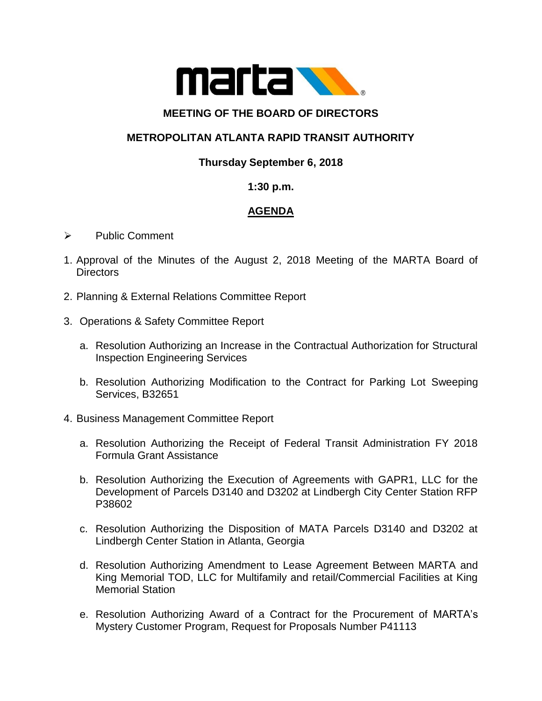

#### **MEETING OF THE BOARD OF DIRECTORS**

# **METROPOLITAN ATLANTA RAPID TRANSIT AUTHORITY**

## **Thursday September 6, 2018**

#### **1:30 p.m.**

## **AGENDA**

- ➢ Public Comment
- 1. Approval of the Minutes of the August 2, 2018 Meeting of the MARTA Board of **Directors**
- 2. Planning & External Relations Committee Report
- 3. Operations & Safety Committee Report
	- a. Resolution Authorizing an Increase in the Contractual Authorization for Structural Inspection Engineering Services
	- b. Resolution Authorizing Modification to the Contract for Parking Lot Sweeping Services, B32651
- 4. Business Management Committee Report
	- a. Resolution Authorizing the Receipt of Federal Transit Administration FY 2018 Formula Grant Assistance
	- b. Resolution Authorizing the Execution of Agreements with GAPR1, LLC for the Development of Parcels D3140 and D3202 at Lindbergh City Center Station RFP P38602
	- c. Resolution Authorizing the Disposition of MATA Parcels D3140 and D3202 at Lindbergh Center Station in Atlanta, Georgia
	- d. Resolution Authorizing Amendment to Lease Agreement Between MARTA and King Memorial TOD, LLC for Multifamily and retail/Commercial Facilities at King Memorial Station
	- e. Resolution Authorizing Award of a Contract for the Procurement of MARTA's Mystery Customer Program, Request for Proposals Number P41113